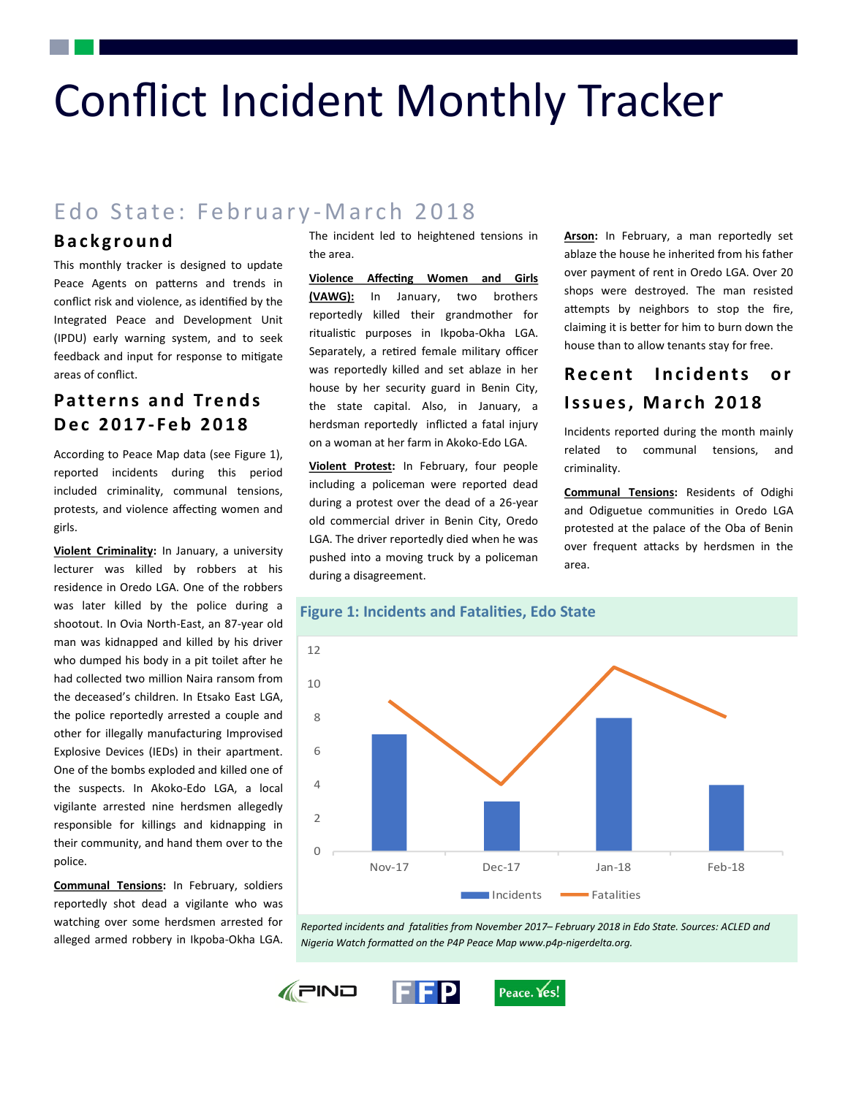# Conflict Incident Monthly Tracker

# Edo State: February-March 2018

## **B a c k g r o u n d**

This monthly tracker is designed to update Peace Agents on patterns and trends in conflict risk and violence, as identified by the Integrated Peace and Development Unit (IPDU) early warning system, and to seek feedback and input for response to mitigate areas of conflict.

# **Patterns and Trends D e c 2 0 1 7 - F e b 2 0 1 8**

According to Peace Map data (see Figure 1), reported incidents during this period included criminality, communal tensions, protests, and violence affecting women and girls.

**Violent Criminality:** In January, a university lecturer was killed by robbers at his residence in Oredo LGA. One of the robbers was later killed by the police during a shootout. In Ovia North-East, an 87-year old man was kidnapped and killed by his driver who dumped his body in a pit toilet after he had collected two million Naira ransom from the deceased's children. In Etsako East LGA, the police reportedly arrested a couple and other for illegally manufacturing Improvised Explosive Devices (IEDs) in their apartment. One of the bombs exploded and killed one of the suspects. In Akoko-Edo LGA, a local vigilante arrested nine herdsmen allegedly responsible for killings and kidnapping in their community, and hand them over to the police.

**Communal Tensions:** In February, soldiers reportedly shot dead a vigilante who was watching over some herdsmen arrested for alleged armed robbery in Ikpoba-Okha LGA.

The incident led to heightened tensions in the area.

**Violence Affecting Women and Girls (VAWG):** In January, two brothers reportedly killed their grandmother for ritualistic purposes in Ikpoba-Okha LGA. Separately, a retired female military officer was reportedly killed and set ablaze in her house by her security guard in Benin City, the state capital. Also, in January, a herdsman reportedly inflicted a fatal injury on a woman at her farm in Akoko-Edo LGA.

**Violent Protest:** In February, four people including a policeman were reported dead during a protest over the dead of a 26-year old commercial driver in Benin City, Oredo LGA. The driver reportedly died when he was pushed into a moving truck by a policeman during a disagreement.

**Arson:** In February, a man reportedly set ablaze the house he inherited from his father over payment of rent in Oredo LGA. Over 20 shops were destroyed. The man resisted attempts by neighbors to stop the fire, claiming it is better for him to burn down the house than to allow tenants stay for free.

# **Recent Incidents or Issues, March 2018**

Incidents reported during the month mainly related to communal tensions, and criminality.

**Communal Tensions:** Residents of Odighi and Odiguetue communities in Oredo LGA protested at the palace of the Oba of Benin over frequent attacks by herdsmen in the area.





*Reported incidents and fatalities from November 2017– February 2018 in Edo State. Sources: ACLED and Nigeria Watch formatted on the P4P Peace Map www.p4p-nigerdelta.org.*